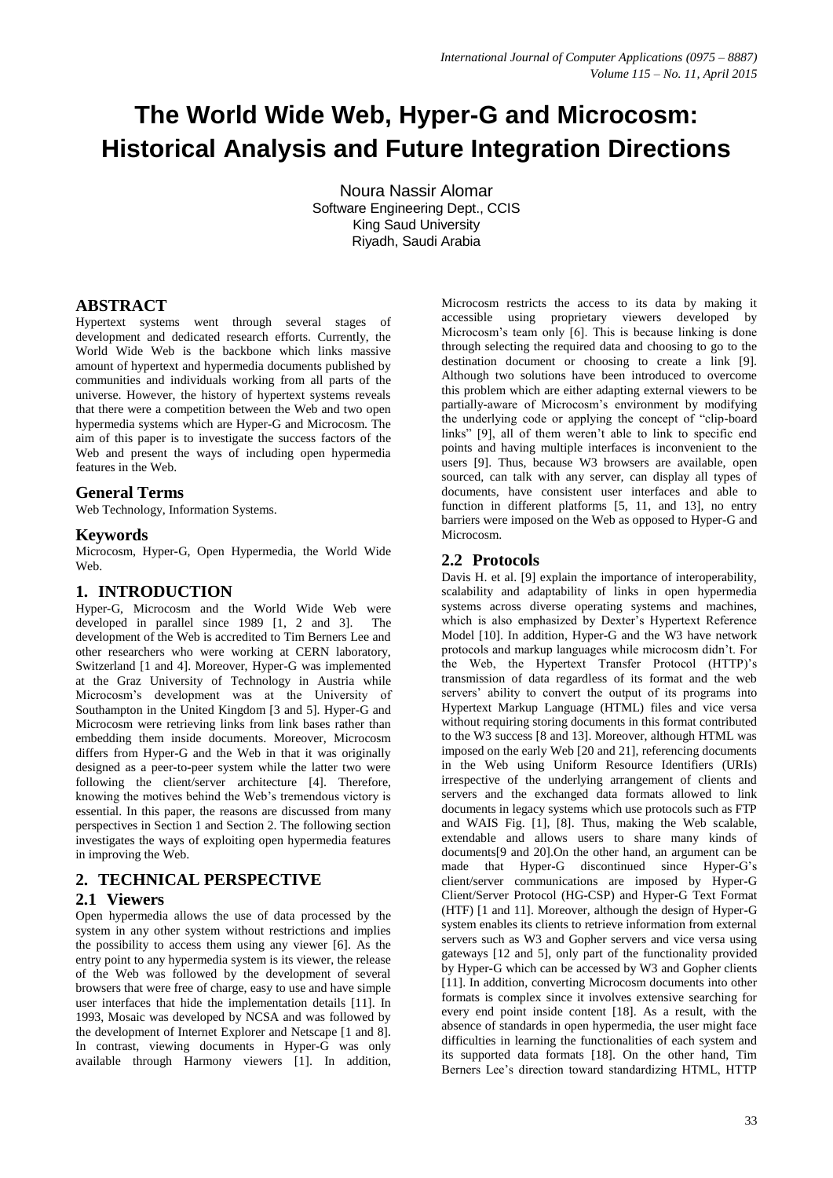# **The World Wide Web, Hyper-G and Microcosm: Historical Analysis and Future Integration Directions**

Noura Nassir Alomar Software Engineering Dept., CCIS King Saud University Riyadh, Saudi Arabia

# **ABSTRACT**

Hypertext systems went through several stages of development and dedicated research efforts. Currently, the World Wide Web is the backbone which links massive amount of hypertext and hypermedia documents published by communities and individuals working from all parts of the universe. However, the history of hypertext systems reveals that there were a competition between the Web and two open hypermedia systems which are Hyper-G and Microcosm. The aim of this paper is to investigate the success factors of the Web and present the ways of including open hypermedia features in the Web.

## **General Terms**

Web Technology, Information Systems.

#### **Keywords**

Microcosm, Hyper-G, Open Hypermedia, the World Wide Web.

## **1. INTRODUCTION**

Hyper-G, Microcosm and the World Wide Web were developed in parallel since 1989 [1, 2 and 3]. The development of the Web is accredited to Tim Berners Lee and other researchers who were working at CERN laboratory, Switzerland [1 and 4]. Moreover, Hyper-G was implemented at the Graz University of Technology in Austria while Microcosm's development was at the University of Southampton in the United Kingdom [3 and 5]. Hyper-G and Microcosm were retrieving links from link bases rather than embedding them inside documents. Moreover, Microcosm differs from Hyper-G and the Web in that it was originally designed as a peer-to-peer system while the latter two were following the client/server architecture [4]. Therefore, knowing the motives behind the Web's tremendous victory is essential. In this paper, the reasons are discussed from many perspectives in Section 1 and Section 2. The following section investigates the ways of exploiting open hypermedia features in improving the Web.

## **2. TECHNICAL PERSPECTIVE**

## **2.1 Viewers**

Open hypermedia allows the use of data processed by the system in any other system without restrictions and implies the possibility to access them using any viewer [6]. As the entry point to any hypermedia system is its viewer, the release of the Web was followed by the development of several browsers that were free of charge, easy to use and have simple user interfaces that hide the implementation details [11]. In 1993, Mosaic was developed by NCSA and was followed by the development of Internet Explorer and Netscape [1 and 8]. In contrast, viewing documents in Hyper-G was only available through Harmony viewers [1]. In addition,

Microcosm restricts the access to its data by making it accessible using proprietary viewers developed by Microcosm's team only [6]. This is because linking is done through selecting the required data and choosing to go to the destination document or choosing to create a link [9]. Although two solutions have been introduced to overcome this problem which are either adapting external viewers to be partially-aware of Microcosm's environment by modifying the underlying code or applying the concept of "clip-board links" [9], all of them weren't able to link to specific end points and having multiple interfaces is inconvenient to the users [9]. Thus, because W3 browsers are available, open sourced, can talk with any server, can display all types of documents, have consistent user interfaces and able to function in different platforms [5, 11, and 13], no entry barriers were imposed on the Web as opposed to Hyper-G and Microcosm.

## **2.2 Protocols**

Davis H. et al. [9] explain the importance of interoperability, scalability and adaptability of links in open hypermedia systems across diverse operating systems and machines, which is also emphasized by Dexter's Hypertext Reference Model [10]. In addition, Hyper-G and the W3 have network protocols and markup languages while microcosm didn't. For the Web, the Hypertext Transfer Protocol (HTTP)'s transmission of data regardless of its format and the web servers' ability to convert the output of its programs into Hypertext Markup Language (HTML) files and vice versa without requiring storing documents in this format contributed to the W3 success [8 and 13]. Moreover, although HTML was imposed on the early Web [20 and 21], referencing documents in the Web using Uniform Resource Identifiers (URIs) irrespective of the underlying arrangement of clients and servers and the exchanged data formats allowed to link documents in legacy systems which use protocols such as FTP and WAIS Fig. [1], [8]. Thus, making the Web scalable, extendable and allows users to share many kinds of documents[9 and 20].On the other hand, an argument can be made that Hyper-G discontinued since Hyper-G's client/server communications are imposed by Hyper-G Client/Server Protocol (HG-CSP) and Hyper-G Text Format (HTF) [1 and 11]. Moreover, although the design of Hyper-G system enables its clients to retrieve information from external servers such as W3 and Gopher servers and vice versa using gateways [12 and 5], only part of the functionality provided by Hyper-G which can be accessed by W3 and Gopher clients [11]. In addition, converting Microcosm documents into other formats is complex since it involves extensive searching for every end point inside content [18]. As a result, with the absence of standards in open hypermedia, the user might face difficulties in learning the functionalities of each system and its supported data formats [18]. On the other hand, Tim Berners Lee's direction toward standardizing HTML, HTTP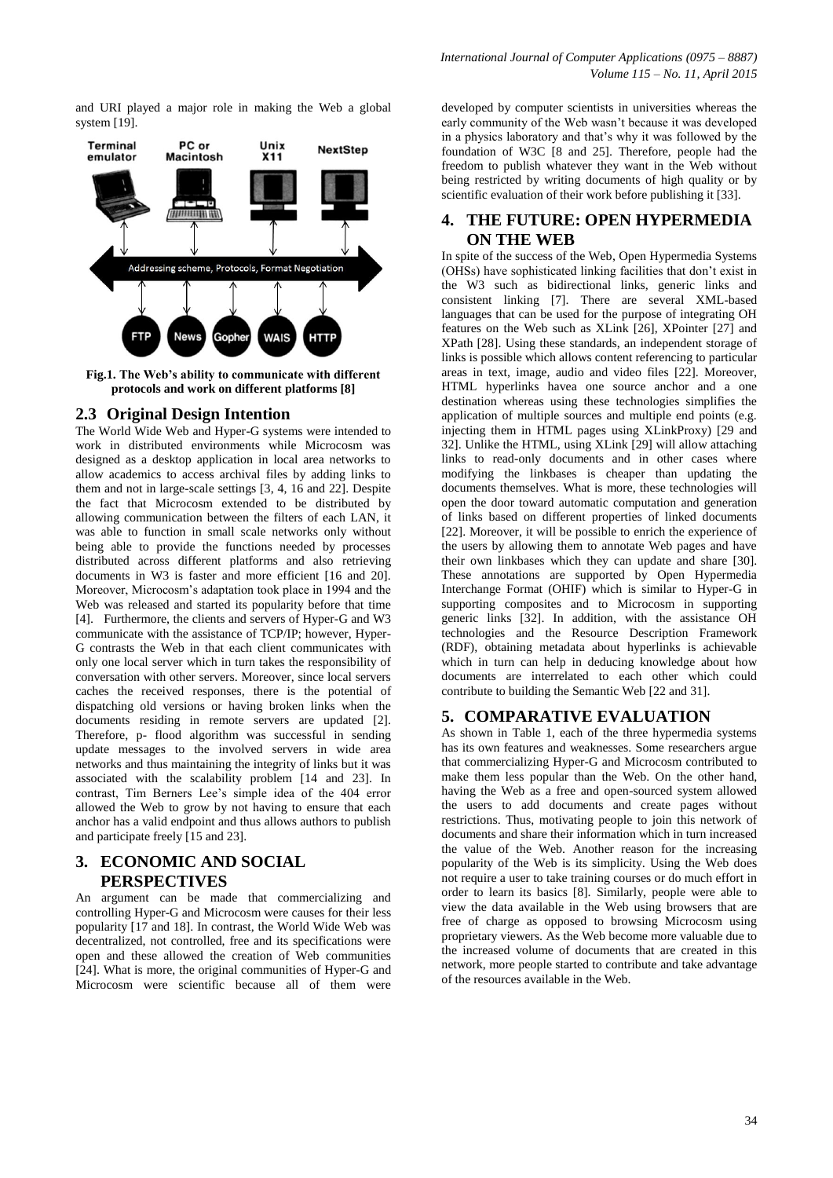and URI played a major role in making the Web a global



**Fig.1. The Web's ability to communicate with different protocols and work on different platforms [8]**

#### **2.3 Original Design Intention**

The World Wide Web and Hyper-G systems were intended to work in distributed environments while Microcosm was designed as a desktop application in local area networks to allow academics to access archival files by adding links to them and not in large-scale settings [3, 4, 16 and 22]. Despite the fact that Microcosm extended to be distributed by allowing communication between the filters of each LAN, it was able to function in small scale networks only without being able to provide the functions needed by processes distributed across different platforms and also retrieving documents in W3 is faster and more efficient [16 and 20]. Moreover, Microcosm's adaptation took place in 1994 and the Web was released and started its popularity before that time [4]. Furthermore, the clients and servers of Hyper-G and W3 communicate with the assistance of TCP/IP; however, Hyper-G contrasts the Web in that each client communicates with only one local server which in turn takes the responsibility of conversation with other servers. Moreover, since local servers caches the received responses, there is the potential of dispatching old versions or having broken links when the documents residing in remote servers are updated [2]. Therefore, p- flood algorithm was successful in sending update messages to the involved servers in wide area networks and thus maintaining the integrity of links but it was associated with the scalability problem [14 and 23]. In contrast, Tim Berners Lee's simple idea of the 404 error allowed the Web to grow by not having to ensure that each anchor has a valid endpoint and thus allows authors to publish and participate freely [15 and 23].

#### **3. ECONOMIC AND SOCIAL PERSPECTIVES**

An argument can be made that commercializing and controlling Hyper-G and Microcosm were causes for their less popularity [17 and 18]. In contrast, the World Wide Web was decentralized, not controlled, free and its specifications were open and these allowed the creation of Web communities [24]. What is more, the original communities of Hyper-G and Microcosm were scientific because all of them were

developed by computer scientists in universities whereas the early community of the Web wasn't because it was developed in a physics laboratory and that's why it was followed by the foundation of W3C [8 and 25]. Therefore, people had the freedom to publish whatever they want in the Web without being restricted by writing documents of high quality or by scientific evaluation of their work before publishing it [33].

#### **4. THE FUTURE: OPEN HYPERMEDIA ON THE WEB**

In spite of the success of the Web, Open Hypermedia Systems (OHSs) have sophisticated linking facilities that don't exist in the W3 such as bidirectional links, generic links and consistent linking [7]. There are several XML-based languages that can be used for the purpose of integrating OH features on the Web such as XLink [26], XPointer [27] and XPath [28]. Using these standards, an independent storage of links is possible which allows content referencing to particular areas in text, image, audio and video files [22]. Moreover, HTML hyperlinks havea one source anchor and a one destination whereas using these technologies simplifies the application of multiple sources and multiple end points (e.g. injecting them in HTML pages using XLinkProxy) [29 and 32]. Unlike the HTML, using XLink [29] will allow attaching links to read-only documents and in other cases where modifying the linkbases is cheaper than updating the documents themselves. What is more, these technologies will open the door toward automatic computation and generation of links based on different properties of linked documents [22]. Moreover, it will be possible to enrich the experience of the users by allowing them to annotate Web pages and have their own linkbases which they can update and share [30]. These annotations are supported by Open Hypermedia Interchange Format (OHIF) which is similar to Hyper-G in supporting composites and to Microcosm in supporting generic links [32]. In addition, with the assistance OH technologies and the Resource Description Framework (RDF), obtaining metadata about hyperlinks is achievable which in turn can help in deducing knowledge about how documents are interrelated to each other which could contribute to building the Semantic Web [22 and 31].

## **5. COMPARATIVE EVALUATION**

As shown in Table 1, each of the three hypermedia systems has its own features and weaknesses. Some researchers argue that commercializing Hyper-G and Microcosm contributed to make them less popular than the Web. On the other hand, having the Web as a free and open-sourced system allowed the users to add documents and create pages without restrictions. Thus, motivating people to join this network of documents and share their information which in turn increased the value of the Web. Another reason for the increasing popularity of the Web is its simplicity. Using the Web does not require a user to take training courses or do much effort in order to learn its basics [8]. Similarly, people were able to view the data available in the Web using browsers that are free of charge as opposed to browsing Microcosm using proprietary viewers. As the Web become more valuable due to the increased volume of documents that are created in this network, more people started to contribute and take advantage of the resources available in the Web.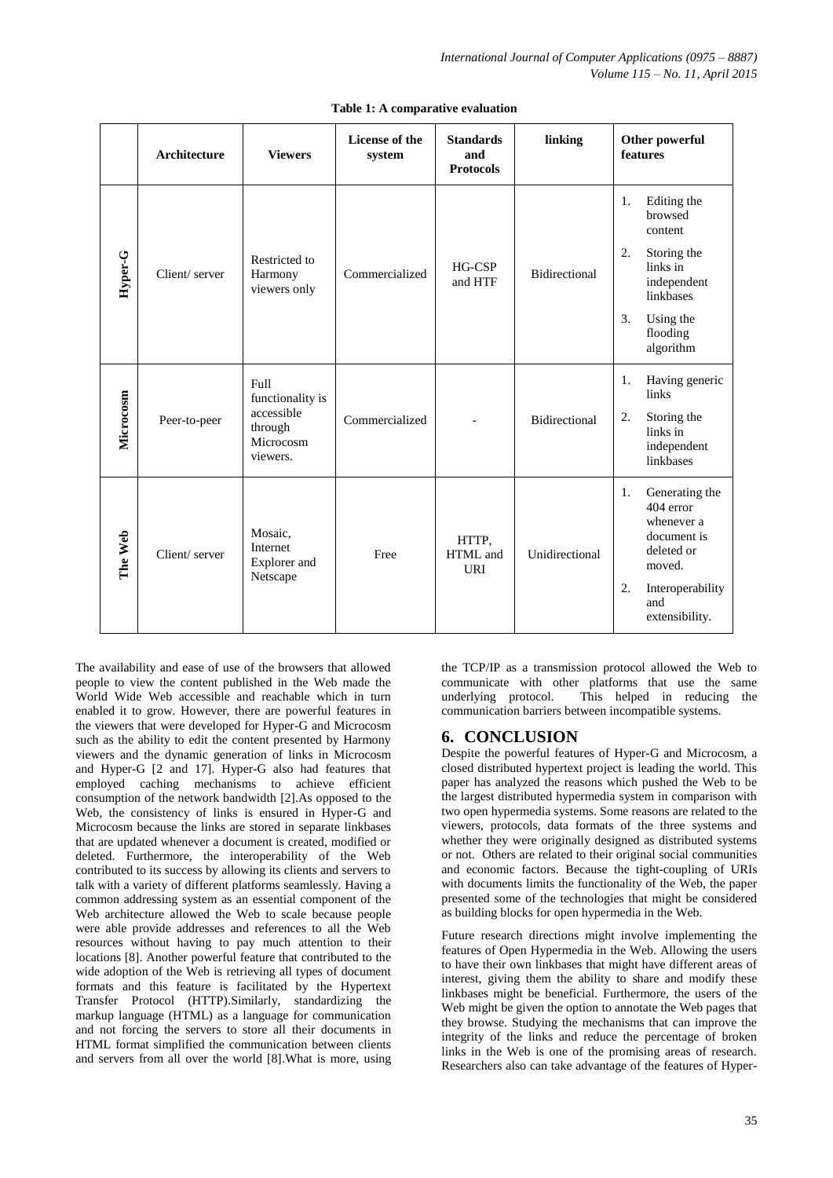|           | <b>Architecture</b> | <b>Viewers</b>                           | <b>License of the</b><br>system | <b>Standards</b><br>and<br><b>Protocols</b> | linking              | Other powerful<br>features                                                             |
|-----------|---------------------|------------------------------------------|---------------------------------|---------------------------------------------|----------------------|----------------------------------------------------------------------------------------|
|           |                     |                                          |                                 |                                             |                      | Editing the<br>1.<br>browsed<br>content                                                |
| Hyper-G   | Client/server       | Restricted to<br>Harmony<br>viewers only | Commercialized                  | HG-CSP<br>and HTF                           | <b>Bidirectional</b> | 2.<br>Storing the<br>links in<br>independent<br>linkbases                              |
|           |                     |                                          |                                 |                                             |                      | 3.<br>Using the<br>flooding<br>algorithm                                               |
|           |                     | Full<br>functionality is<br>accessible   |                                 |                                             |                      | Having generic<br>1.<br>links                                                          |
| Microcosm | Peer-to-peer        | through<br>Microcosm<br>viewers.         | Commercialized                  |                                             | <b>Bidirectional</b> | 2.<br>Storing the<br>links in<br>independent<br>linkbases                              |
| The Web   | Client/server       | Mosaic.<br>Internet<br>Explorer and      | Free                            | HTTP,<br>HTML and<br>URI                    | Unidirectional       | 1.<br>Generating the<br>404 error<br>whenever a<br>document is<br>deleted or<br>moved. |
|           |                     | Netscape                                 |                                 |                                             |                      | 2.<br>Interoperability<br>and<br>extensibility.                                        |

#### **Table 1: A comparative evaluation**

The availability and ease of use of the browsers that allowed people to view the content published in the Web made the World Wide Web accessible and reachable which in turn enabled it to grow. However, there are powerful features in the viewers that were developed for Hyper-G and Microcosm such as the ability to edit the content presented by Harmony viewers and the dynamic generation of links in Microcosm and Hyper-G [2 and 17]. Hyper-G also had features that employed caching mechanisms to achieve efficient consumption of the network bandwidth [2].As opposed to the Web, the consistency of links is ensured in Hyper-G and Microcosm because the links are stored in separate linkbases that are updated whenever a document is created, modified or deleted. Furthermore, the interoperability of the Web contributed to its success by allowing its clients and servers to talk with a variety of different platforms seamlessly. Having a common addressing system as an essential component of the Web architecture allowed the Web to scale because people were able provide addresses and references to all the Web resources without having to pay much attention to their locations [8]. Another powerful feature that contributed to the wide adoption of the Web is retrieving all types of document formats and this feature is facilitated by the Hypertext Transfer Protocol (HTTP).Similarly, standardizing the markup language (HTML) as a language for communication and not forcing the servers to store all their documents in HTML format simplified the communication between clients and servers from all over the world [8].What is more, using

the TCP/IP as a transmission protocol allowed the Web to communicate with other platforms that use the same underlying protocol. This helped in reducing the communication barriers between incompatible systems.

## **6. CONCLUSION**

Despite the powerful features of Hyper-G and Microcosm, a closed distributed hypertext project is leading the world. This paper has analyzed the reasons which pushed the Web to be the largest distributed hypermedia system in comparison with two open hypermedia systems. Some reasons are related to the viewers, protocols, data formats of the three systems and whether they were originally designed as distributed systems or not. Others are related to their original social communities and economic factors. Because the tight-coupling of URIs with documents limits the functionality of the Web, the paper presented some of the technologies that might be considered as building blocks for open hypermedia in the Web.

Future research directions might involve implementing the features of Open Hypermedia in the Web. Allowing the users to have their own linkbases that might have different areas of interest, giving them the ability to share and modify these linkbases might be beneficial. Furthermore, the users of the Web might be given the option to annotate the Web pages that they browse. Studying the mechanisms that can improve the integrity of the links and reduce the percentage of broken links in the Web is one of the promising areas of research. Researchers also can take advantage of the features of Hyper